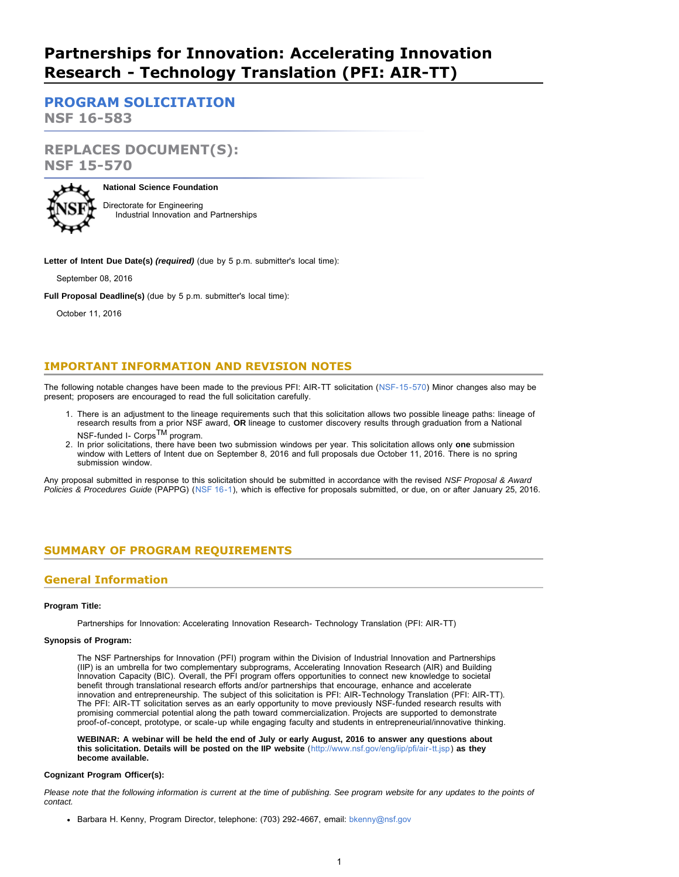# **Partnerships for Innovation: Accelerating Innovation Research - Technology Translation (PFI: AIR-TT)**

**[PROGRAM SOLICITATION](#page-2-0)**

**NSF 16-583**

**REPLACES DOCUMENT(S): NSF 15-570**



**National Science Foundation**

Directorate for Engineering Industrial Innovation and Partnerships

Letter of Intent Due Date(s) (required) (due by 5 p.m. submitter's local time):

September 08, 2016

**Full Proposal Deadline(s)** (due by 5 p.m. submitter's local time):

October 11, 2016

# **IMPORTANT INFORMATION AND REVISION NOTES**

The following notable changes have been made to the previous PFI: AIR-TT solicitation ([NSF-15-570\)](http://www.nsf.gov/publications/pub_summ.jsp?ods_key=nsf15570) Minor changes also may be present; proposers are encouraged to read the full solicitation carefully.

- 1. There is an adjustment to the lineage requirements such that this solicitation allows two possible lineage paths: lineage of research results from a prior NSF award, **OR** lineage to customer discovery results through graduation from a National NSF-funded I- CorpsTM program.
- 2. In prior solicitations, there have been two submission windows per year. This solicitation allows only **one** submission window with Letters of Intent due on September 8, 2016 and full proposals due October 11, 2016. There is no spring submission window.

<span id="page-0-0"></span>Any proposal submitted in response to this solicitation should be submitted in accordance with the revised *NSF Proposal & Award Policies & Procedures Guide* (PAPPG) ([NSF 16-1](http://www.nsf.gov/publications/pub_summ.jsp?ods_key=nsf16001)), which is effective for proposals submitted, or due, on or after January 25, 2016.

# **SUMMARY OF PROGRAM REQUIREMENTS**

# **General Information**

### **Program Title:**

Partnerships for Innovation: Accelerating Innovation Research- Technology Translation (PFI: AIR-TT)

### **Synopsis of Program:**

The NSF Partnerships for Innovation (PFI) program within the Division of Industrial Innovation and Partnerships (IIP) is an umbrella for two complementary subprograms, Accelerating Innovation Research (AIR) and Building Innovation Capacity (BIC). Overall, the PFI program offers opportunities to connect new knowledge to societal benefit through translational research efforts and/or partnerships that encourage, enhance and accelerate innovation and entrepreneurship. The subject of this solicitation is PFI: AIR-Technology Translation (PFI: AIR-TT). The PFI: AIR-TT solicitation serves as an early opportunity to move previously NSF-funded research results with promising commercial potential along the path toward commercialization. Projects are supported to demonstrate proof-of-concept, prototype, or scale-up while engaging faculty and students in entrepreneurial/innovative thinking.

**WEBINAR: A webinar will be held the end of July or early August, 2016 to answer any questions about this solicitation. Details will be posted on the IIP website** ([http://www.nsf.gov/eng/iip/pfi/air-tt.jsp\)](http://www.nsf.gov/eng/iip/pfi/air-tt.jsp) **as they become available.**

### **Cognizant Program Officer(s):**

*Please note that the following information is current at the time of publishing. See program website for any updates to the points of contact.*

• Barbara H. Kenny, Program Director, telephone: (703) 292-4667, email: [bkenny@nsf.gov](mailto:bkenny@nsf.gov)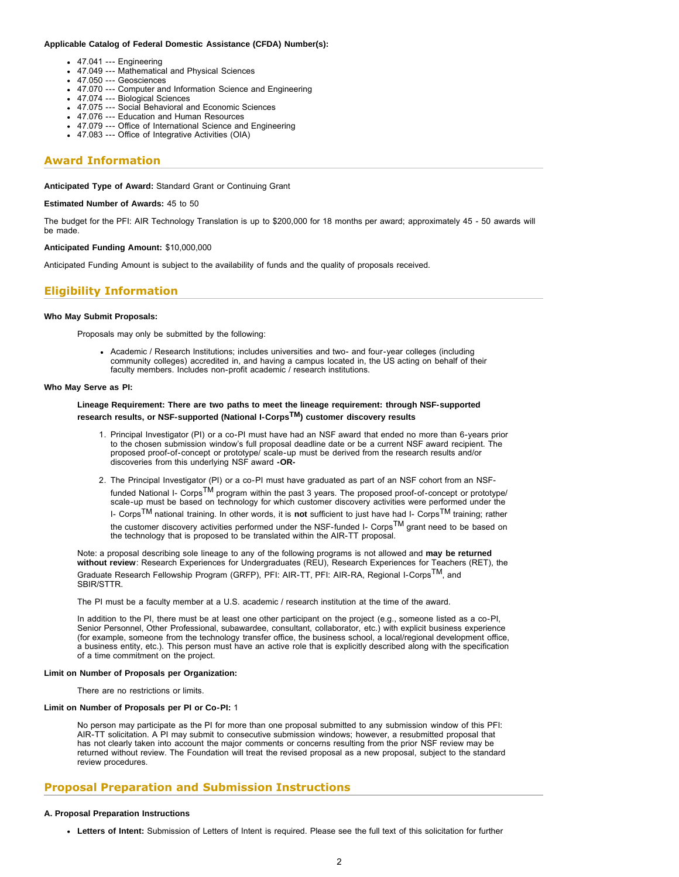### **Applicable Catalog of Federal Domestic Assistance (CFDA) Number(s):**

- 47.041 --- Engineering
- 47.049 --- Mathematical and Physical Sciences
- 47.050 --- Geosciences
- 47.070 --- Computer and Information Science and Engineering
- 47.074 --- Biological Sciences
- 47.075 --- Social Behavioral and Economic Sciences
- 47.076 --- Education and Human Resources
- 47.079 --- Office of International Science and Engineering
- 47.083 --- Office of Integrative Activities (OIA)

### **Award Information**

#### **Anticipated Type of Award:** Standard Grant or Continuing Grant

#### **Estimated Number of Awards:** 45 to 50

The budget for the PFI: AIR Technology Translation is up to \$200,000 for 18 months per award; approximately 45 - 50 awards will be made.

### **Anticipated Funding Amount:** \$10,000,000

Anticipated Funding Amount is subject to the availability of funds and the quality of proposals received.

### **Eligibility Information**

### **Who May Submit Proposals:**

Proposals may only be submitted by the following:

Academic / Research Institutions; includes universities and two- and four-year colleges (including community colleges) accredited in, and having a campus located in, the US acting on behalf of their faculty members. Includes non-profit academic / research institutions.

#### **Who May Serve as PI:**

### **Lineage Requirement: There are two paths to meet the lineage requirement: through NSF-supported research results, or NSF-supported (National I-CorpsTM) customer discovery results**

- 1. Principal Investigator (PI) or a co-PI must have had an NSF award that ended no more than 6-years prior to the chosen submission window's full proposal deadline date or be a current NSF award recipient. The proposed proof-of-concept or prototype/ scale-up must be derived from the research results and/or discoveries from this underlying NSF award **-OR-**
- 2. The Principal Investigator (PI) or a co-PI must have graduated as part of an NSF cohort from an NSFfunded National I- Corps<sup>TM</sup> program within the past 3 years. The proposed proof-of-concept or prototype/ scale-up must be based on technology for which customer discovery activities were performed under the I- CorpsTM national training. In other words, it is **not** sufficient to just have had I- CorpsTM training; rather

the customer discovery activities performed under the NSF-funded I- Corps<sup>TM</sup> grant need to be based on the technology that is proposed to be translated within the AIR-TT proposal.

Note: a proposal describing sole lineage to any of the following programs is not allowed and **may be returned without review**: Research Experiences for Undergraduates (REU), Research Experiences for Teachers (RET), the Graduate Research Fellowship Program (GRFP), PFI: AIR-TT, PFI: AIR-RA, Regional I-CorpsTM, and SBIR/STTR.

The PI must be a faculty member at a U.S. academic / research institution at the time of the award.

In addition to the PI, there must be at least one other participant on the project (e.g., someone listed as a co-PI, Senior Personnel, Other Professional, subawardee, consultant, collaborator, etc.) with explicit business experience (for example, someone from the technology transfer office, the business school, a local/regional development office, a business entity, etc.). This person must have an active role that is explicitly described along with the specification of a time commitment on the project.

#### **Limit on Number of Proposals per Organization:**

There are no restrictions or limits.

### **Limit on Number of Proposals per PI or Co-PI:** 1

No person may participate as the PI for more than one proposal submitted to any submission window of this PFI: AIR-TT solicitation. A PI may submit to consecutive submission windows; however, a resubmitted proposal that has not clearly taken into account the major comments or concerns resulting from the prior NSF review may be returned without review. The Foundation will treat the revised proposal as a new proposal, subject to the standard review procedures.

### **Proposal Preparation and Submission Instructions**

### **A. Proposal Preparation Instructions**

**Letters of Intent:** Submission of Letters of Intent is required. Please see the full text of this solicitation for further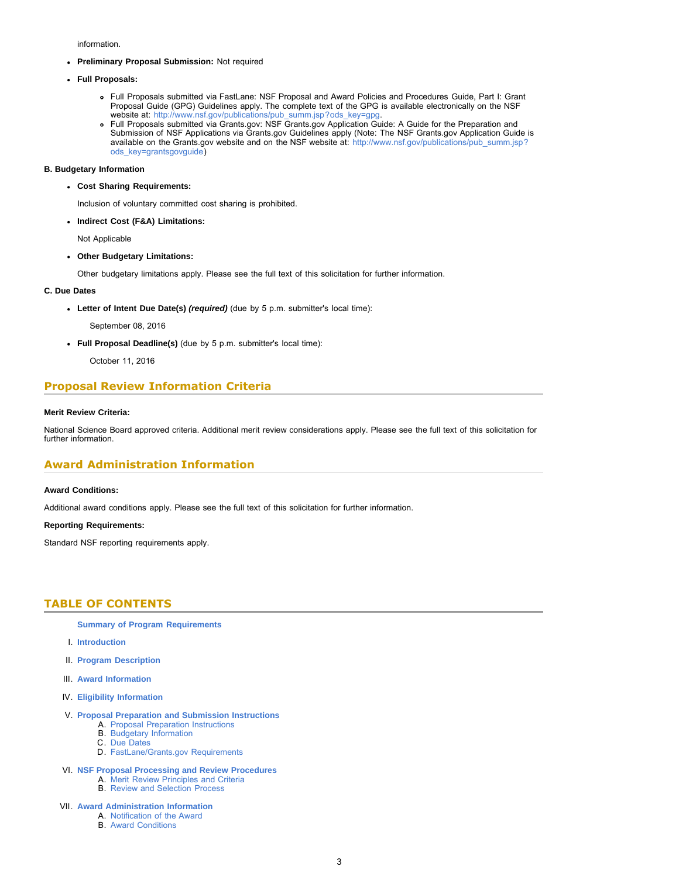information.

- **Preliminary Proposal Submission:** Not required
- **Full Proposals:**
	- Full Proposals submitted via FastLane: NSF Proposal and Award Policies and Procedures Guide, Part I: Grant Proposal Guide (GPG) Guidelines apply. The complete text of the GPG is available electronically on the NSF website at: [http://www.nsf.gov/publications/pub\\_summ.jsp?ods\\_key=gpg.](http://www.nsf.gov/publications/pub_summ.jsp?ods_key=gpg)
	- Full Proposals submitted via Grants.gov: NSF Grants.gov Application Guide: A Guide for the Preparation and Submission of NSF Applications via Grants.gov Guidelines apply (Note: The NSF Grants.gov Application Guide is available on the Grants.gov website and on the NSF website at: [http://www.nsf.gov/publications/pub\\_summ.jsp?](http://www.nsf.gov/publications/pub_summ.jsp?ods_key=grantsgovguide) [ods\\_key=grantsgovguide\)](http://www.nsf.gov/publications/pub_summ.jsp?ods_key=grantsgovguide)

### **B. Budgetary Information**

**Cost Sharing Requirements:**

Inclusion of voluntary committed cost sharing is prohibited.

**Indirect Cost (F&A) Limitations:**

Not Applicable

**Other Budgetary Limitations:**

Other budgetary limitations apply. Please see the full text of this solicitation for further information.

### **C. Due Dates**

**Letter of Intent Due Date(s)** *(required)* (due by 5 p.m. submitter's local time):

September 08, 2016

**Full Proposal Deadline(s)** (due by 5 p.m. submitter's local time):

October 11, 2016

# **Proposal Review Information Criteria**

### **Merit Review Criteria:**

National Science Board approved criteria. Additional merit review considerations apply. Please see the full text of this solicitation for further information.

### **Award Administration Information**

#### **Award Conditions:**

Additional award conditions apply. Please see the full text of this solicitation for further information.

### **Reporting Requirements:**

<span id="page-2-0"></span>Standard NSF reporting requirements apply.

### **TABLE OF CONTENTS**

- **[Summary of Program Requirements](#page-0-0)**
- I. **[Introduction](#page-3-0)**
- II. **[Program Description](#page-3-1)**
- III. **[Award Information](#page-3-2)**
- IV. **[Eligibility Information](#page-3-3)**
- V. **[Proposal Preparation and Submission Instructions](#page-4-0)**
	- A. [Proposal Preparation Instructions](#page-4-0) B. [Budgetary Information](#page-7-0)
	- C. [Due Dates](#page-8-0)
	- D. [FastLane/Grants.gov Requirements](#page-8-1)
- VI. **[NSF Proposal Processing and Review Procedures](#page-8-2)**
	- A. [Merit Review Principles and Criteria](#page-9-0)
	- B. [Review and Selection Process](#page-10-0)

#### VII. **[Award Administration Information](#page-10-1)**

- A. [Notification of the Award](#page-10-2)
- B. [Award Conditions](#page-10-3)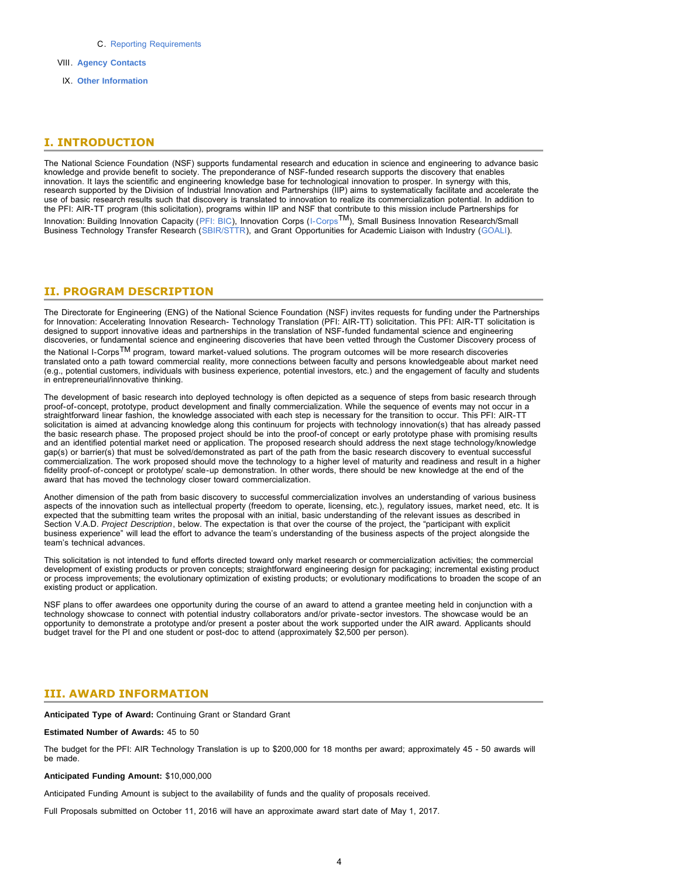- C. [Reporting Requirements](#page-11-0)
- VIII. **[Agency Contacts](#page-11-1)**
- IX. **[Other Information](#page-11-2)**

# <span id="page-3-0"></span>**I. INTRODUCTION**

The National Science Foundation (NSF) supports fundamental research and education in science and engineering to advance basic knowledge and provide benefit to society. The preponderance of NSF-funded research supports the discovery that enables innovation. It lays the scientific and engineering knowledge base for technological innovation to prosper. In synergy with this, research supported by the Division of Industrial Innovation and Partnerships (IIP) aims to systematically facilitate and accelerate the use of basic research results such that discovery is translated to innovation to realize its commercialization potential. In addition to the PFI: AIR-TT program (this solicitation), programs within IIP and NSF that contribute to this mission include Partnerships for Innovation: Building Innovation Capacity ([PFI: BIC](http://www.nsf.gov/eng/iip/pfi/bic.jsp)), Innovation Corps ([I-Corps](http://www.nsf.gov/news/special_reports/i-corps)<sup>TM</sup>), Small Business Innovation Research/Small Business Technology Transfer Research ([SBIR/STTR](http://www.nsf.gov/eng/iip/sbir/index.jsp?SBTR=SolicAS)), and Grant Opportunities for Academic Liaison with Industry ([GOALI](http://www.nsf.gov/funding/pgm_summ.jsp?pims_id=504699&SBTR=SolicAG)).

### <span id="page-3-1"></span>**II. PROGRAM DESCRIPTION**

The Directorate for Engineering (ENG) of the National Science Foundation (NSF) invites requests for funding under the Partnerships for Innovation: Accelerating Innovation Research- Technology Translation (PFI: AIR-TT) solicitation. This PFI: AIR-TT solicitation is designed to support innovative ideas and partnerships in the translation of NSF-funded fundamental science and engineering discoveries, or fundamental science and engineering discoveries that have been vetted through the Customer Discovery process of the National I-CorpsTM program, toward market-valued solutions. The program outcomes will be more research discoveries translated onto a path toward commercial reality, more connections between faculty and persons knowledgeable about market need (e.g., potential customers, individuals with business experience, potential investors, etc.) and the engagement of faculty and students in entrepreneurial/innovative thinking.

The development of basic research into deployed technology is often depicted as a sequence of steps from basic research through proof-of-concept, prototype, product development and finally commercialization. While the sequence of events may not occur in a straightforward linear fashion, the knowledge associated with each step is necessary for the transition to occur. This PFI: AIR-TT solicitation is aimed at advancing knowledge along this continuum for projects with technology innovation(s) that has already passed the basic research phase. The proposed project should be into the proof-of concept or early prototype phase with promising results and an identified potential market need or application. The proposed research should address the next stage technology/knowledge gap(s) or barrier(s) that must be solved/demonstrated as part of the path from the basic research discovery to eventual successful commercialization. The work proposed should move the technology to a higher level of maturity and readiness and result in a higher fidelity proof-of-concept or prototype/ scale-up demonstration. In other words, there should be new knowledge at the end of the award that has moved the technology closer toward commercialization.

Another dimension of the path from basic discovery to successful commercialization involves an understanding of various business aspects of the innovation such as intellectual property (freedom to operate, licensing, etc.), regulatory issues, market need, etc. It is expected that the submitting team writes the proposal with an initial, basic understanding of the relevant issues as described in Section V.A.D. *Project Description*, below. The expectation is that over the course of the project, the "participant with explicit business experience" will lead the effort to advance the team's understanding of the business aspects of the project alongside the team's technical advances.

This solicitation is not intended to fund efforts directed toward only market research or commercialization activities; the commercial development of existing products or proven concepts; straightforward engineering design for packaging; incremental existing product or process improvements; the evolutionary optimization of existing products; or evolutionary modifications to broaden the scope of an existing product or application.

NSF plans to offer awardees one opportunity during the course of an award to attend a grantee meeting held in conjunction with a technology showcase to connect with potential industry collaborators and/or private-sector investors. The showcase would be an opportunity to demonstrate a prototype and/or present a poster about the work supported under the AIR award. Applicants should budget travel for the PI and one student or post-doc to attend (approximately \$2,500 per person).

### <span id="page-3-2"></span>**III. AWARD INFORMATION**

**Anticipated Type of Award:** Continuing Grant or Standard Grant

**Estimated Number of Awards:** 45 to 50

The budget for the PFI: AIR Technology Translation is up to \$200,000 for 18 months per award; approximately 45 - 50 awards will be made.

### **Anticipated Funding Amount:** \$10,000,000

Anticipated Funding Amount is subject to the availability of funds and the quality of proposals received.

<span id="page-3-3"></span>Full Proposals submitted on October 11, 2016 will have an approximate award start date of May 1, 2017.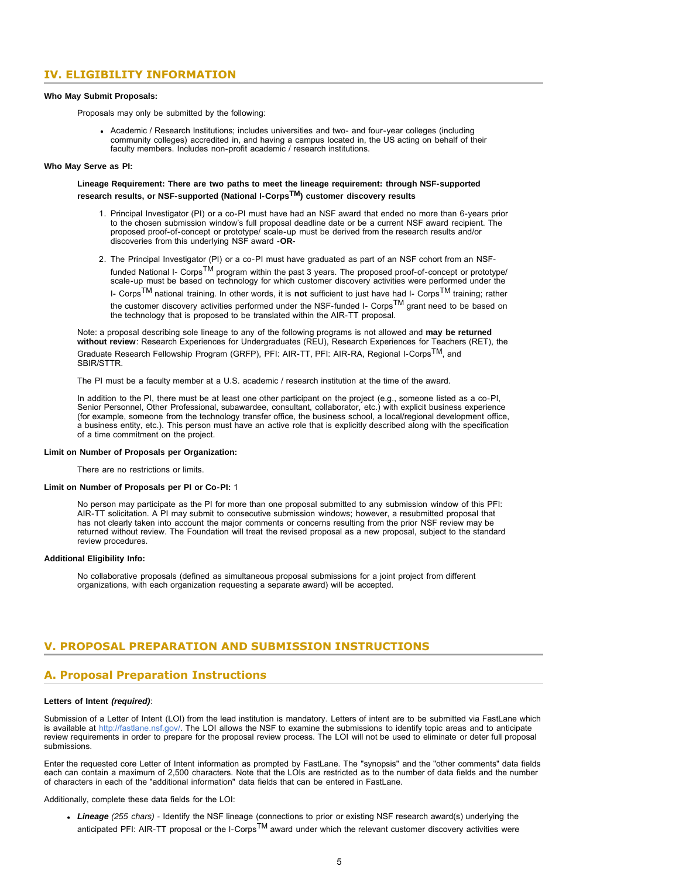### **IV. ELIGIBILITY INFORMATION**

### **Who May Submit Proposals:**

Proposals may only be submitted by the following:

Academic / Research Institutions; includes universities and two- and four-year colleges (including community colleges) accredited in, and having a campus located in, the US acting on behalf of their faculty members. Includes non-profit academic / research institutions.

#### **Who May Serve as PI:**

### **Lineage Requirement: There are two paths to meet the lineage requirement: through NSF-supported research results, or NSF-supported (National I-CorpsTM) customer discovery results**

- 1. Principal Investigator (PI) or a co-PI must have had an NSF award that ended no more than 6-years prior to the chosen submission window's full proposal deadline date or be a current NSF award recipient. The proposed proof-of-concept or prototype/ scale-up must be derived from the research results and/or discoveries from this underlying NSF award **-OR-**
- 2. The Principal Investigator (PI) or a co-PI must have graduated as part of an NSF cohort from an NSFfunded National I- Corps<sup>TM</sup> program within the past 3 years. The proposed proof-of-concept or prototype/ scale-up must be based on technology for which customer discovery activities were performed under the I- CorpsTM national training. In other words, it is **not** sufficient to just have had I- CorpsTM training; rather the customer discovery activities performed under the NSF-funded I- Corps<sup>TM</sup> grant need to be based on the technology that is proposed to be translated within the AIR-TT proposal.

Note: a proposal describing sole lineage to any of the following programs is not allowed and **may be returned without review**: Research Experiences for Undergraduates (REU), Research Experiences for Teachers (RET), the Graduate Research Fellowship Program (GRFP), PFI: AIR-TT, PFI: AIR-RA, Regional I-CorpsTM, and SBIR/STTR.

The PI must be a faculty member at a U.S. academic / research institution at the time of the award.

In addition to the PI, there must be at least one other participant on the project (e.g., someone listed as a co-PI, Senior Personnel, Other Professional, subawardee, consultant, collaborator, etc.) with explicit business experience (for example, someone from the technology transfer office, the business school, a local/regional development office, a business entity, etc.). This person must have an active role that is explicitly described along with the specification of a time commitment on the project.

#### **Limit on Number of Proposals per Organization:**

There are no restrictions or limits.

### **Limit on Number of Proposals per PI or Co-PI:** 1

No person may participate as the PI for more than one proposal submitted to any submission window of this PFI: AIR-TT solicitation. A PI may submit to consecutive submission windows; however, a resubmitted proposal that has not clearly taken into account the major comments or concerns resulting from the prior NSF review may be returned without review. The Foundation will treat the revised proposal as a new proposal, subject to the standard review procedures.

#### **Additional Eligibility Info:**

No collaborative proposals (defined as simultaneous proposal submissions for a joint project from different organizations, with each organization requesting a separate award) will be accepted.

### <span id="page-4-0"></span>**V. PROPOSAL PREPARATION AND SUBMISSION INSTRUCTIONS**

### **A. Proposal Preparation Instructions**

### **Letters of Intent** *(required)*:

Submission of a Letter of Intent (LOI) from the lead institution is mandatory. Letters of intent are to be submitted via FastLane which is available at [http://fastlane.nsf.gov/.](http://fastlane.nsf.gov/) The LOI allows the NSF to examine the submissions to identify topic areas and to anticipate review requirements in order to prepare for the proposal review process. The LOI will not be used to eliminate or deter full proposal submissions.

Enter the requested core Letter of Intent information as prompted by FastLane. The "synopsis" and the "other comments" data fields each can contain a maximum of 2,500 characters. Note that the LOIs are restricted as to the number of data fields and the number of characters in each of the "additional information" data fields that can be entered in FastLane.

Additionally, complete these data fields for the LOI:

*Lineage (255 chars) -* Identify the NSF lineage (connections to prior or existing NSF research award(s) underlying the anticipated PFI: AIR-TT proposal or the I-Corps<sup>TM</sup> award under which the relevant customer discovery activities were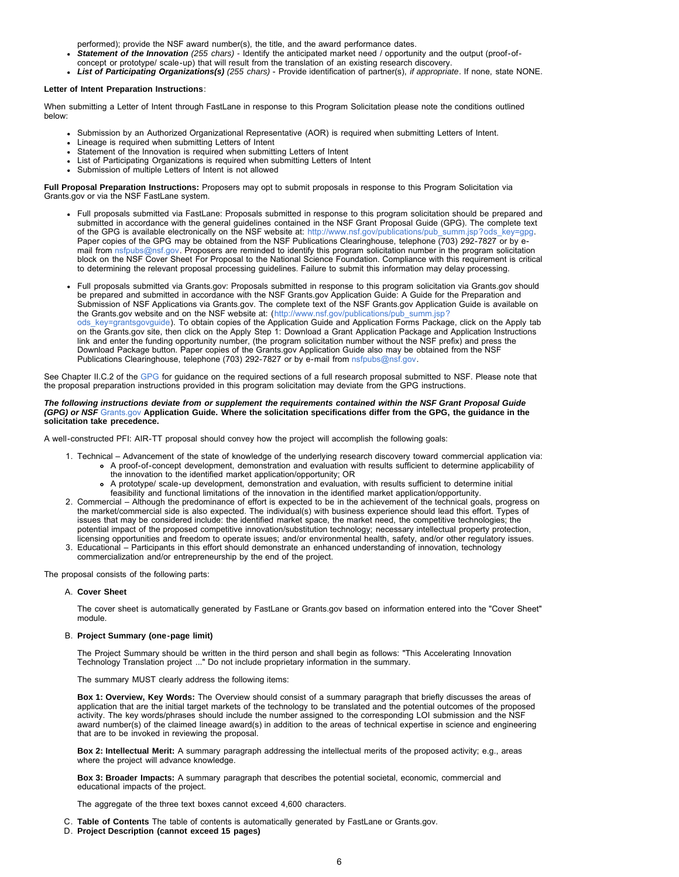performed); provide the NSF award number(s), the title, and the award performance dates.

- *Statement of the Innovation (255 chars)* Identify the anticipated market need / opportunity and the output (proof-of-
- concept or prototype/ scale-up) that will result from the translation of an existing research discovery.
- *List of Participating Organizations(s) (255 chars)* Provide identification of partner(s), *if appropriate*. If none, state NONE.

### **Letter of Intent Preparation Instructions**:

When submitting a Letter of Intent through FastLane in response to this Program Solicitation please note the conditions outlined below:

- Submission by an Authorized Organizational Representative (AOR) is required when submitting Letters of Intent.
- Lineage is required when submitting Letters of Intent
- Statement of the Innovation is required when submitting Letters of Intent
- List of Participating Organizations is required when submitting Letters of Intent
- Submission of multiple Letters of Intent is not allowed

**Full Proposal Preparation Instructions:** Proposers may opt to submit proposals in response to this Program Solicitation via Grants.gov or via the NSF FastLane system.

- Full proposals submitted via FastLane: Proposals submitted in response to this program solicitation should be prepared and submitted in accordance with the general guidelines contained in the NSF Grant Proposal Guide (GPG). The complete text of the GPG is available electronically on the NSF website at: [http://www.nsf.gov/publications/pub\\_summ.jsp?ods\\_key=gpg.](http://www.nsf.gov/publications/pub_summ.jsp?ods_key=gpg) Paper copies of the GPG may be obtained from the NSF Publications Clearinghouse, telephone (703) 292-7827 or by email from [nsfpubs@nsf.gov.](mailto:nsfpubs@nsf.gov) Proposers are reminded to identify this program solicitation number in the program solicitation block on the NSF Cover Sheet For Proposal to the National Science Foundation. Compliance with this requirement is critical to determining the relevant proposal processing guidelines. Failure to submit this information may delay processing.
- Full proposals submitted via Grants.gov: Proposals submitted in response to this program solicitation via Grants.gov should be prepared and submitted in accordance with the NSF Grants.gov Application Guide: A Guide for the Preparation and Submission of NSF Applications via Grants.gov. The complete text of the NSF Grants.gov Application Guide is available on the Grants.gov website and on the NSF website at: ([http://www.nsf.gov/publications/pub\\_summ.jsp?](http://www.nsf.gov/publications/pub_summ.jsp?ods_key=grantsgovguide) [ods\\_key=grantsgovguide\)](http://www.nsf.gov/publications/pub_summ.jsp?ods_key=grantsgovguide). To obtain copies of the Application Guide and Application Forms Package, click on the Apply tab on the Grants.gov site, then click on the Apply Step 1: Download a Grant Application Package and Application Instructions link and enter the funding opportunity number, (the program solicitation number without the NSF prefix) and press the Download Package button. Paper copies of the Grants.gov Application Guide also may be obtained from the NSF Publications Clearinghouse, telephone (703) 292-7827 or by e-mail from [nsfpubs@nsf.gov.](mailto:nsfpubs@nsf.gov)

See Chapter II.C.2 of the [GPG](http://www.nsf.gov/publications/pub_summ.jsp?ods_key=gpg) for guidance on the required sections of a full research proposal submitted to NSF. Please note that the proposal preparation instructions provided in this program solicitation may deviate from the GPG instructions.

#### *The following instructions deviate from or supplement the requirements contained within the NSF Grant Proposal Guide (GPG) or NSF* [Grants.gov](http://www.grants.gov/) **Application Guide. Where the solicitation specifications differ from the GPG, the guidance in the solicitation take precedence.**

A well-constructed PFI: AIR-TT proposal should convey how the project will accomplish the following goals:

- 1. Technical Advancement of the state of knowledge of the underlying research discovery toward commercial application via: A proof-of-concept development, demonstration and evaluation with results sufficient to determine applicability of
	- the innovation to the identified market application/opportunity; OR
	- A prototype/ scale-up development, demonstration and evaluation, with results sufficient to determine initial feasibility and functional limitations of the innovation in the identified market application/opportunity.
- 2. Commercial Although the predominance of effort is expected to be in the achievement of the technical goals, progress on the market/commercial side is also expected. The individual(s) with business experience should lead this effort. Types of issues that may be considered include: the identified market space, the market need, the competitive technologies; the potential impact of the proposed competitive innovation/substitution technology; necessary intellectual property protection, licensing opportunities and freedom to operate issues; and/or environmental health, safety, and/or other regulatory issues.
- 3. Educational Participants in this effort should demonstrate an enhanced understanding of innovation, technology commercialization and/or entrepreneurship by the end of the project.

The proposal consists of the following parts:

### A. **Cover Sheet**

The cover sheet is automatically generated by FastLane or Grants.gov based on information entered into the "Cover Sheet" module.

### B. **Project Summary (one-page limit)**

The Project Summary should be written in the third person and shall begin as follows: "This Accelerating Innovation Technology Translation project ..." Do not include proprietary information in the summary.

The summary MUST clearly address the following items:

**Box 1: Overview, Key Words:** The Overview should consist of a summary paragraph that briefly discusses the areas of application that are the initial target markets of the technology to be translated and the potential outcomes of the proposed activity. The key words/phrases should include the number assigned to the corresponding LOI submission and the NSF award number(s) of the claimed lineage award(s) in addition to the areas of technical expertise in science and engineering that are to be invoked in reviewing the proposal.

**Box 2: Intellectual Merit:** A summary paragraph addressing the intellectual merits of the proposed activity; e.g., areas where the project will advance knowledge.

**Box 3: Broader Impacts:** A summary paragraph that describes the potential societal, economic, commercial and educational impacts of the project.

The aggregate of the three text boxes cannot exceed 4,600 characters.

- C. **Table of Contents** The table of contents is automatically generated by FastLane or Grants.gov.
- D. **Project Description (cannot exceed 15 pages)**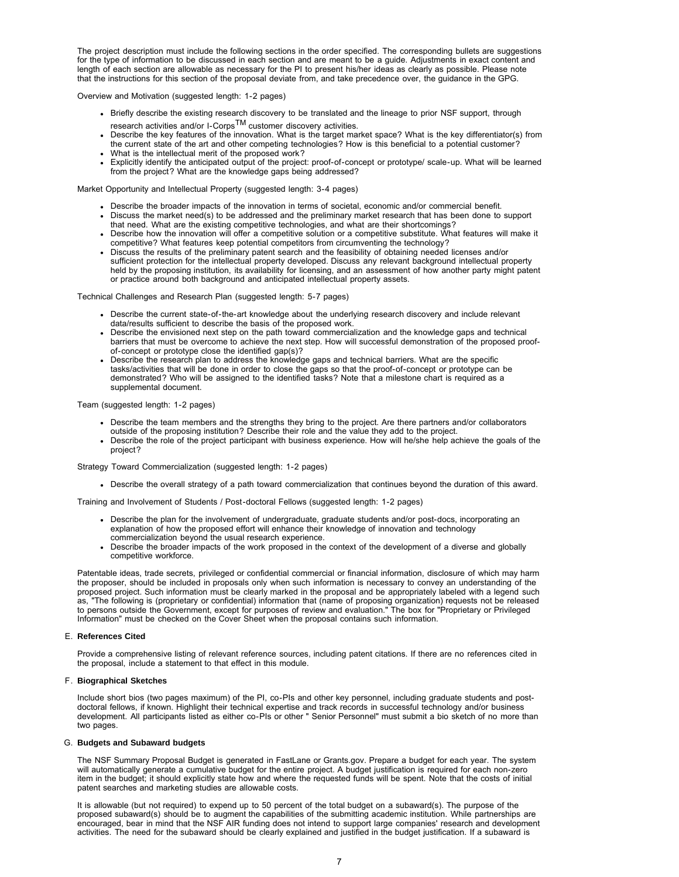The project description must include the following sections in the order specified. The corresponding bullets are suggestions for the type of information to be discussed in each section and are meant to be a guide. Adjustments in exact content and length of each section are allowable as necessary for the PI to present his/her ideas as clearly as possible. Please note that the instructions for this section of the proposal deviate from, and take precedence over, the guidance in the GPG.

Overview and Motivation (suggested length: 1-2 pages)

- Briefly describe the existing research discovery to be translated and the lineage to prior NSF support, through research activities and/or I-Corps<sup>TM</sup> customer discovery activities.
- Describe the key features of the innovation. What is the target market space? What is the key differentiator(s) from the current state of the art and other competing technologies? How is this beneficial to a potential customer?
- What is the intellectual merit of the proposed work?
- Explicitly identify the anticipated output of the project: proof-of-concept or prototype/ scale-up. What will be learned from the project? What are the knowledge gaps being addressed?

Market Opportunity and Intellectual Property (suggested length: 3-4 pages)

- Describe the broader impacts of the innovation in terms of societal, economic and/or commercial benefit.
- Discuss the market need(s) to be addressed and the preliminary market research that has been done to support that need. What are the existing competitive technologies, and what are their shortcomings?
- Describe how the innovation will offer a competitive solution or a competitive substitute. What features will make it competitive? What features keep potential competitors from circumventing the technology?
- Discuss the results of the preliminary patent search and the feasibility of obtaining needed licenses and/or sufficient protection for the intellectual property developed. Discuss any relevant background intellectual property held by the proposing institution, its availability for licensing, and an assessment of how another party might patent or practice around both background and anticipated intellectual property assets.

Technical Challenges and Research Plan (suggested length: 5-7 pages)

- Describe the current state-of-the-art knowledge about the underlying research discovery and include relevant data/results sufficient to describe the basis of the proposed work.
- Describe the envisioned next step on the path toward commercialization and the knowledge gaps and technical barriers that must be overcome to achieve the next step. How will successful demonstration of the proposed proofof-concept or prototype close the identified gap(s)?
- Describe the research plan to address the knowledge gaps and technical barriers. What are the specific tasks/activities that will be done in order to close the gaps so that the proof-of-concept or prototype can be demonstrated? Who will be assigned to the identified tasks? Note that a milestone chart is required as a supplemental document.

Team (suggested length: 1-2 pages)

- Describe the team members and the strengths they bring to the project. Are there partners and/or collaborators outside of the proposing institution? Describe their role and the value they add to the project.
- Describe the role of the project participant with business experience. How will he/she help achieve the goals of the project?

Strategy Toward Commercialization (suggested length: 1-2 pages)

Describe the overall strategy of a path toward commercialization that continues beyond the duration of this award.

Training and Involvement of Students / Post-doctoral Fellows (suggested length: 1-2 pages)

- Describe the plan for the involvement of undergraduate, graduate students and/or post-docs, incorporating an explanation of how the proposed effort will enhance their knowledge of innovation and technology commercialization beyond the usual research experience.
- Describe the broader impacts of the work proposed in the context of the development of a diverse and globally competitive workforce.

Patentable ideas, trade secrets, privileged or confidential commercial or financial information, disclosure of which may harm the proposer, should be included in proposals only when such information is necessary to convey an understanding of the proposed project. Such information must be clearly marked in the proposal and be appropriately labeled with a legend such as, "The following is (proprietary or confidential) information that (name of proposing organization) requests not be released to persons outside the Government, except for purposes of review and evaluation." The box for "Proprietary or Privileged Information" must be checked on the Cover Sheet when the proposal contains such information.

#### E. **References Cited**

Provide a comprehensive listing of relevant reference sources, including patent citations. If there are no references cited in the proposal, include a statement to that effect in this module.

### F. **Biographical Sketches**

Include short bios (two pages maximum) of the PI, co-PIs and other key personnel, including graduate students and postdoctoral fellows, if known. Highlight their technical expertise and track records in successful technology and/or business development. All participants listed as either co-PIs or other " Senior Personnel" must submit a bio sketch of no more than two pages.

### G. **Budgets and Subaward budgets**

The NSF Summary Proposal Budget is generated in FastLane or Grants.gov. Prepare a budget for each year. The system will automatically generate a cumulative budget for the entire project. A budget justification is required for each non-zero item in the budget; it should explicitly state how and where the requested funds will be spent. Note that the costs of initial patent searches and marketing studies are allowable costs.

It is allowable (but not required) to expend up to 50 percent of the total budget on a subaward(s). The purpose of the proposed subaward(s) should be to augment the capabilities of the submitting academic institution. While partnerships are encouraged, bear in mind that the NSF AIR funding does not intend to support large companies' research and development activities. The need for the subaward should be clearly explained and justified in the budget justification. If a subaward is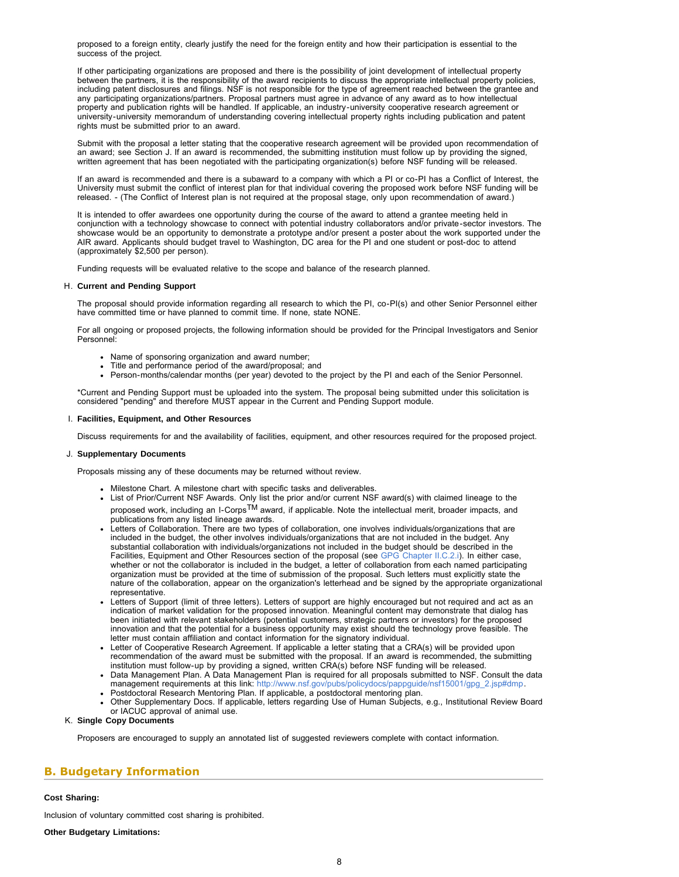proposed to a foreign entity, clearly justify the need for the foreign entity and how their participation is essential to the success of the project.

If other participating organizations are proposed and there is the possibility of joint development of intellectual property between the partners, it is the responsibility of the award recipients to discuss the appropriate intellectual property policies, including patent disclosures and filings. NSF is not responsible for the type of agreement reached between the grantee and any participating organizations/partners. Proposal partners must agree in advance of any award as to how intellectual property and publication rights will be handled. If applicable, an industry-university cooperative research agreement or university-university memorandum of understanding covering intellectual property rights including publication and patent rights must be submitted prior to an award.

Submit with the proposal a letter stating that the cooperative research agreement will be provided upon recommendation of an award; see Section J. If an award is recommended, the submitting institution must follow up by providing the signed, written agreement that has been negotiated with the participating organization(s) before NSF funding will be released.

If an award is recommended and there is a subaward to a company with which a PI or co-PI has a Conflict of Interest, the University must submit the conflict of interest plan for that individual covering the proposed work before NSF funding will be released. - (The Conflict of Interest plan is not required at the proposal stage, only upon recommendation of award.)

It is intended to offer awardees one opportunity during the course of the award to attend a grantee meeting held in conjunction with a technology showcase to connect with potential industry collaborators and/or private-sector investors. The showcase would be an opportunity to demonstrate a prototype and/or present a poster about the work supported under the AIR award. Applicants should budget travel to Washington, DC area for the PI and one student or post-doc to attend (approximately \$2,500 per person).

Funding requests will be evaluated relative to the scope and balance of the research planned.

### H. **Current and Pending Support**

The proposal should provide information regarding all research to which the PI, co-PI(s) and other Senior Personnel either have committed time or have planned to commit time. If none, state NONE.

For all ongoing or proposed projects, the following information should be provided for the Principal Investigators and Senior Personnel:

- Name of sponsoring organization and award number;
- Title and performance period of the award/proposal; and
- Person-months/calendar months (per year) devoted to the project by the PI and each of the Senior Personnel.

\*Current and Pending Support must be uploaded into the system. The proposal being submitted under this solicitation is considered "pending" and therefore MUST appear in the Current and Pending Support module.

#### I. **Facilities, Equipment, and Other Resources**

Discuss requirements for and the availability of facilities, equipment, and other resources required for the proposed project.

#### J. **Supplementary Documents**

Proposals missing any of these documents may be returned without review.

- Milestone Chart. A milestone chart with specific tasks and deliverables.
- List of Prior/Current NSF Awards. Only list the prior and/or current NSF award(s) with claimed lineage to the proposed work, including an I-Corps<sup>TM</sup> award, if applicable. Note the intellectual merit, broader impacts, and publications from any listed lineage awards.
- Letters of Collaboration. There are two types of collaboration, one involves individuals/organizations that are included in the budget, the other involves individuals/organizations that are not included in the budget. Any substantial collaboration with individuals/organizations not included in the budget should be described in the Facilities, Equipment and Other Resources section of the proposal (see [GPG Chapter II.C.2.i\)](http://www.nsf.gov/pubs/policydocs/pappguide/nsf15001/gpg_2.jsp#IIC2i). In either case, whether or not the collaborator is included in the budget, a letter of collaboration from each named participating organization must be provided at the time of submission of the proposal. Such letters must explicitly state the nature of the collaboration, appear on the organization's letterhead and be signed by the appropriate organizational representative.
- Letters of Support (limit of three letters). Letters of support are highly encouraged but not required and act as an indication of market validation for the proposed innovation. Meaningful content may demonstrate that dialog has been initiated with relevant stakeholders (potential customers, strategic partners or investors) for the proposed innovation and that the potential for a business opportunity may exist should the technology prove feasible. The letter must contain affiliation and contact information for the signatory individual.
- Letter of Cooperative Research Agreement. If applicable a letter stating that a CRA(s) will be provided upon recommendation of the award must be submitted with the proposal. If an award is recommended, the submitting institution must follow-up by providing a signed, written CRA(s) before NSF funding will be released.
- Data Management Plan. A Data Management Plan is required for all proposals submitted to NSF. Consult the data management requirements at this link: [http://www.nsf.gov/pubs/policydocs/pappguide/nsf15001/gpg\\_2.jsp#dmp.](http://www.nsf.gov/pubs/policydocs/pappguide/nsf15001/gpg_2.jsp#dmp)
- Postdoctoral Research Mentoring Plan. If applicable, a postdoctoral mentoring plan.
- Other Supplementary Docs. If applicable, letters regarding Use of Human Subjects, e.g., Institutional Review Board or IACUC approval of animal use.
- K. **Single Copy Documents**

Proposers are encouraged to supply an annotated list of suggested reviewers complete with contact information.

### <span id="page-7-0"></span>**B. Budgetary Information**

### **Cost Sharing:**

Inclusion of voluntary committed cost sharing is prohibited.

**Other Budgetary Limitations:**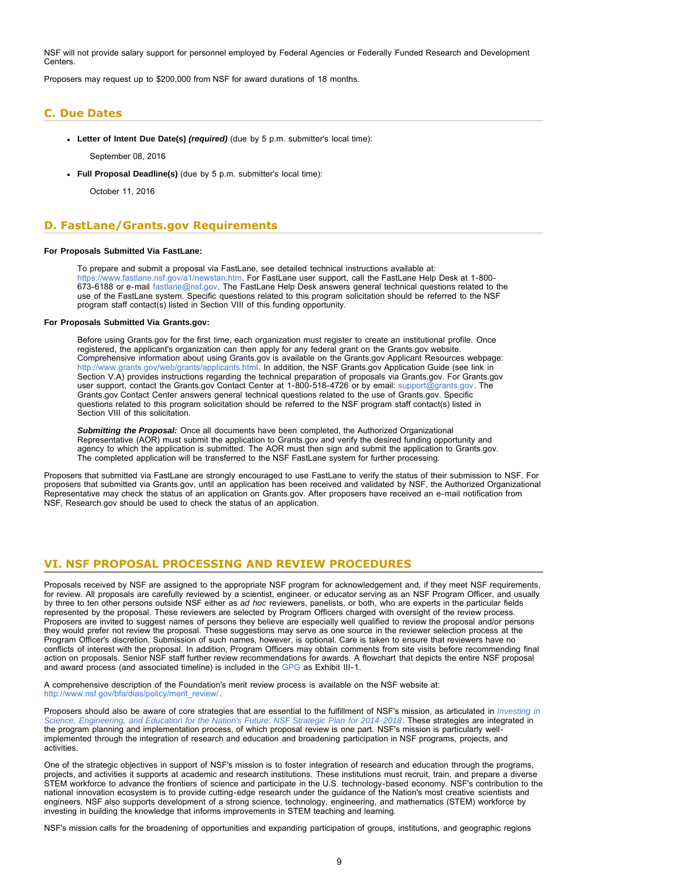<span id="page-8-0"></span>NSF will not provide salary support for personnel employed by Federal Agencies or Federally Funded Research and Development Centers.

Proposers may request up to \$200,000 from NSF for award durations of 18 months.

### **C. Due Dates**

**Letter of Intent Due Date(s)** *(required)* (due by 5 p.m. submitter's local time):

September 08, 2016

**Full Proposal Deadline(s)** (due by 5 p.m. submitter's local time):

October 11, 2016

### <span id="page-8-1"></span>**D. FastLane/Grants.gov Requirements**

### **For Proposals Submitted Via FastLane:**

To prepare and submit a proposal via FastLane, see detailed technical instructions available at: [https://www.fastlane.nsf.gov/a1/newstan.htm.](https://www.fastlane.nsf.gov/a1/newstan.htm) For FastLane user support, call the FastLane Help Desk at 1-800- 673-6188 or e-mail [fastlane@nsf.gov.](mailto:fastlane@nsf.gov) The FastLane Help Desk answers general technical questions related to the use of the FastLane system. Specific questions related to this program solicitation should be referred to the NSF program staff contact(s) listed in Section VIII of this funding opportunity.

### **For Proposals Submitted Via Grants.gov:**

Before using Grants.gov for the first time, each organization must register to create an institutional profile. Once registered, the applicant's organization can then apply for any federal grant on the Grants.gov website. Comprehensive information about using Grants.gov is available on the Grants.gov Applicant Resources webpage: [http://www.grants.gov/web/grants/applicants.html.](http://www.grants.gov/web/grants/applicants.html) In addition, the NSF Grants.gov Application Guide (see link in Section V.A) provides instructions regarding the technical preparation of proposals via Grants.gov. For Grants.gov user support, contact the Grants.gov Contact Center at 1-800-518-4726 or by email: [support@grants.gov](mailto:support@grants.gov). The Grants.gov Contact Center answers general technical questions related to the use of Grants.gov. Specific questions related to this program solicitation should be referred to the NSF program staff contact(s) listed in Section VIII of this solicitation.

*Submitting the Proposal:* Once all documents have been completed, the Authorized Organizational Representative (AOR) must submit the application to Grants.gov and verify the desired funding opportunity and agency to which the application is submitted. The AOR must then sign and submit the application to Grants.gov. The completed application will be transferred to the NSF FastLane system for further processing.

Proposers that submitted via FastLane are strongly encouraged to use FastLane to verify the status of their submission to NSF. For proposers that submitted via Grants.gov, until an application has been received and validated by NSF, the Authorized Organizational Representative may check the status of an application on Grants.gov. After proposers have received an e-mail notification from NSF, Research.gov should be used to check the status of an application.

# <span id="page-8-2"></span>**VI. NSF PROPOSAL PROCESSING AND REVIEW PROCEDURES**

Proposals received by NSF are assigned to the appropriate NSF program for acknowledgement and, if they meet NSF requirements, for review. All proposals are carefully reviewed by a scientist, engineer, or educator serving as an NSF Program Officer, and usually by three to ten other persons outside NSF either as *ad hoc* reviewers, panelists, or both, who are experts in the particular fields represented by the proposal. These reviewers are selected by Program Officers charged with oversight of the review process. Proposers are invited to suggest names of persons they believe are especially well qualified to review the proposal and/or persons they would prefer not review the proposal. These suggestions may serve as one source in the reviewer selection process at the Program Officer's discretion. Submission of such names, however, is optional. Care is taken to ensure that reviewers have no conflicts of interest with the proposal. In addition, Program Officers may obtain comments from site visits before recommending final action on proposals. Senior NSF staff further review recommendations for awards. A flowchart that depicts the entire NSF proposal and award process (and associated timeline) is included in the [GPG](http://www.nsf.gov/publications/pub_summ.jsp?ods_key=gpg) as Exhibit III-1.

A comprehensive description of the Foundation's merit review process is available on the NSF website at: [http://www.nsf.gov/bfa/dias/policy/merit\\_review/](http://www.nsf.gov/bfa/dias/policy/merit_review/).

Proposers should also be aware of core strategies that are essential to the fulfillment of NSF's mission, as articulated in *[Investing in](http://www.nsf.gov/publications/pub_summ.jsp?ods_key=nsf14043) [Science, Engineering, and Education for the Nation's Future: NSF Strategic Plan for 2014-2018](http://www.nsf.gov/publications/pub_summ.jsp?ods_key=nsf14043)*. These strategies are integrated in the program planning and implementation process, of which proposal review is one part. NSF's mission is particularly wellimplemented through the integration of research and education and broadening participation in NSF programs, projects, and activities.

One of the strategic objectives in support of NSF's mission is to foster integration of research and education through the programs, projects, and activities it supports at academic and research institutions. These institutions must recruit, train, and prepare a diverse STEM workforce to advance the frontiers of science and participate in the U.S. technology-based economy. NSF's contribution to the national innovation ecosystem is to provide cutting-edge research under the guidance of the Nation's most creative scientists and engineers. NSF also supports development of a strong science, technology, engineering, and mathematics (STEM) workforce by investing in building the knowledge that informs improvements in STEM teaching and learning.

NSF's mission calls for the broadening of opportunities and expanding participation of groups, institutions, and geographic regions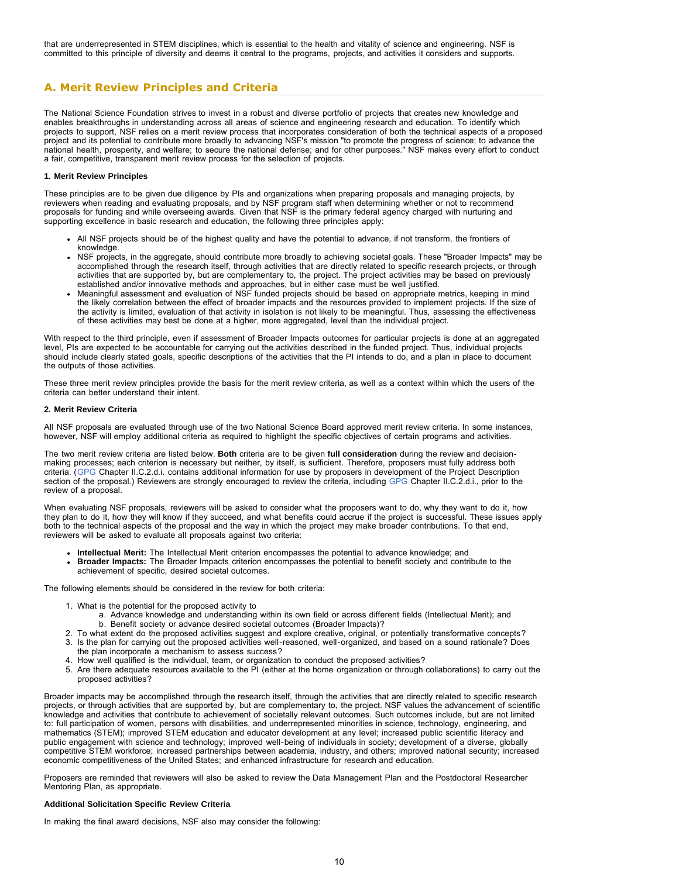that are underrepresented in STEM disciplines, which is essential to the health and vitality of science and engineering. NSF is committed to this principle of diversity and deems it central to the programs, projects, and activities it considers and supports.

### <span id="page-9-0"></span>**A. Merit Review Principles and Criteria**

The National Science Foundation strives to invest in a robust and diverse portfolio of projects that creates new knowledge and enables breakthroughs in understanding across all areas of science and engineering research and education. To identify which projects to support, NSF relies on a merit review process that incorporates consideration of both the technical aspects of a proposed project and its potential to contribute more broadly to advancing NSF's mission "to promote the progress of science; to advance the national health, prosperity, and welfare; to secure the national defense; and for other purposes." NSF makes every effort to conduct a fair, competitive, transparent merit review process for the selection of projects.

### **1. Merit Review Principles**

These principles are to be given due diligence by PIs and organizations when preparing proposals and managing projects, by reviewers when reading and evaluating proposals, and by NSF program staff when determining whether or not to recommend proposals for funding and while overseeing awards. Given that NSF is the primary federal agency charged with nurturing and supporting excellence in basic research and education, the following three principles apply:

- All NSF projects should be of the highest quality and have the potential to advance, if not transform, the frontiers of knowledge.
- NSF projects, in the aggregate, should contribute more broadly to achieving societal goals. These "Broader Impacts" may be accomplished through the research itself, through activities that are directly related to specific research projects, or through activities that are supported by, but are complementary to, the project. The project activities may be based on previously established and/or innovative methods and approaches, but in either case must be well justified.
- Meaningful assessment and evaluation of NSF funded projects should be based on appropriate metrics, keeping in mind the likely correlation between the effect of broader impacts and the resources provided to implement projects. If the size of the activity is limited, evaluation of that activity in isolation is not likely to be meaningful. Thus, assessing the effectiveness of these activities may best be done at a higher, more aggregated, level than the individual project.

With respect to the third principle, even if assessment of Broader Impacts outcomes for particular projects is done at an aggregated level, PIs are expected to be accountable for carrying out the activities described in the funded project. Thus, individual projects should include clearly stated goals, specific descriptions of the activities that the PI intends to do, and a plan in place to document the outputs of those activities.

These three merit review principles provide the basis for the merit review criteria, as well as a context within which the users of the criteria can better understand their intent.

### **2. Merit Review Criteria**

All NSF proposals are evaluated through use of the two National Science Board approved merit review criteria. In some instances, however, NSF will employ additional criteria as required to highlight the specific objectives of certain programs and activities.

The two merit review criteria are listed below. **Both** criteria are to be given **full consideration** during the review and decisionmaking processes; each criterion is necessary but neither, by itself, is sufficient. Therefore, proposers must fully address both criteria. ([GPG](http://www.nsf.gov/publications/pub_summ.jsp?ods_key=gpg) Chapter II.C.2.d.i. contains additional information for use by proposers in development of the Project Description section of the proposal.) Reviewers are strongly encouraged to review the criteria, including [GPG](http://www.nsf.gov/publications/pub_summ.jsp?ods_key=gpg) Chapter II.C.2.d.i., prior to the review of a proposal.

When evaluating NSF proposals, reviewers will be asked to consider what the proposers want to do, why they want to do it, how they plan to do it, how they will know if they succeed, and what benefits could accrue if the project is successful. These issues apply both to the technical aspects of the proposal and the way in which the project may make broader contributions. To that end, reviewers will be asked to evaluate all proposals against two criteria:

- **Intellectual Merit:** The Intellectual Merit criterion encompasses the potential to advance knowledge; and
- **Broader Impacts:** The Broader Impacts criterion encompasses the potential to benefit society and contribute to the achievement of specific, desired societal outcomes.

The following elements should be considered in the review for both criteria:

- 1. What is the potential for the proposed activity to
	- a. Advance knowledge and understanding within its own field or across different fields (Intellectual Merit); and b. Benefit society or advance desired societal outcomes (Broader Impacts)?
- 2. To what extent do the proposed activities suggest and explore creative, original, or potentially transformative concepts? 3. Is the plan for carrying out the proposed activities well-reasoned, well-organized, and based on a sound rationale? Does the plan incorporate a mechanism to assess success?
- 4. How well qualified is the individual, team, or organization to conduct the proposed activities?
- 5. Are there adequate resources available to the PI (either at the home organization or through collaborations) to carry out the proposed activities?

Broader impacts may be accomplished through the research itself, through the activities that are directly related to specific research projects, or through activities that are supported by, but are complementary to, the project. NSF values the advancement of scientific knowledge and activities that contribute to achievement of societally relevant outcomes. Such outcomes include, but are not limited to: full participation of women, persons with disabilities, and underrepresented minorities in science, technology, engineering, and mathematics (STEM); improved STEM education and educator development at any level; increased public scientific literacy and public engagement with science and technology; improved well-being of individuals in society; development of a diverse, globally competitive STEM workforce; increased partnerships between academia, industry, and others; improved national security; increased economic competitiveness of the United States; and enhanced infrastructure for research and education.

Proposers are reminded that reviewers will also be asked to review the Data Management Plan and the Postdoctoral Researcher Mentoring Plan, as appropriate.

### **Additional Solicitation Specific Review Criteria**

In making the final award decisions, NSF also may consider the following: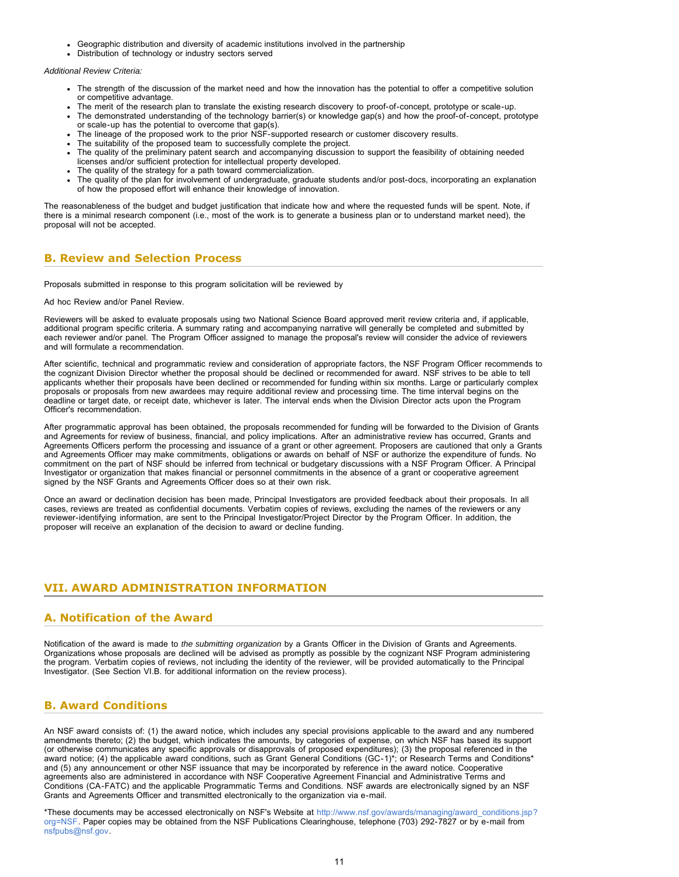- Geographic distribution and diversity of academic institutions involved in the partnership
- Distribution of technology or industry sectors served

### *Additional Review Criteria:*

- The strength of the discussion of the market need and how the innovation has the potential to offer a competitive solution or competitive advantage.
- The merit of the research plan to translate the existing research discovery to proof-of-concept, prototype or scale-up. The demonstrated understanding of the technology barrier(s) or knowledge gap(s) and how the proof-of-concept, prototype
- or scale-up has the potential to overcome that gap(s).
- The lineage of the proposed work to the prior NSF-supported research or customer discovery results.
- The suitability of the proposed team to successfully complete the project. The quality of the preliminary patent search and accompanying discussion to support the feasibility of obtaining needed licenses and/or sufficient protection for intellectual property developed.
- The quality of the strategy for a path toward commercialization.
- The quality of the plan for involvement of undergraduate, graduate students and/or post-docs, incorporating an explanation of how the proposed effort will enhance their knowledge of innovation.

The reasonableness of the budget and budget justification that indicate how and where the requested funds will be spent. Note, if there is a minimal research component (i.e., most of the work is to generate a business plan or to understand market need), the proposal will not be accepted.

# <span id="page-10-0"></span>**B. Review and Selection Process**

Proposals submitted in response to this program solicitation will be reviewed by

#### Ad hoc Review and/or Panel Review.

Reviewers will be asked to evaluate proposals using two National Science Board approved merit review criteria and, if applicable, additional program specific criteria. A summary rating and accompanying narrative will generally be completed and submitted by each reviewer and/or panel. The Program Officer assigned to manage the proposal's review will consider the advice of reviewers and will formulate a recommendation.

After scientific, technical and programmatic review and consideration of appropriate factors, the NSF Program Officer recommends to the cognizant Division Director whether the proposal should be declined or recommended for award. NSF strives to be able to tell applicants whether their proposals have been declined or recommended for funding within six months. Large or particularly complex proposals or proposals from new awardees may require additional review and processing time. The time interval begins on the deadline or target date, or receipt date, whichever is later. The interval ends when the Division Director acts upon the Program Officer's recommendation.

After programmatic approval has been obtained, the proposals recommended for funding will be forwarded to the Division of Grants and Agreements for review of business, financial, and policy implications. After an administrative review has occurred, Grants and Agreements Officers perform the processing and issuance of a grant or other agreement. Proposers are cautioned that only a Grants and Agreements Officer may make commitments, obligations or awards on behalf of NSF or authorize the expenditure of funds. No commitment on the part of NSF should be inferred from technical or budgetary discussions with a NSF Program Officer. A Principal Investigator or organization that makes financial or personnel commitments in the absence of a grant or cooperative agreement signed by the NSF Grants and Agreements Officer does so at their own risk.

Once an award or declination decision has been made, Principal Investigators are provided feedback about their proposals. In all cases, reviews are treated as confidential documents. Verbatim copies of reviews, excluding the names of the reviewers or any reviewer-identifying information, are sent to the Principal Investigator/Project Director by the Program Officer. In addition, the proposer will receive an explanation of the decision to award or decline funding.

# <span id="page-10-1"></span>**VII. AWARD ADMINISTRATION INFORMATION**

# <span id="page-10-2"></span>**A. Notification of the Award**

Notification of the award is made to *the submitting organization* by a Grants Officer in the Division of Grants and Agreements. Organizations whose proposals are declined will be advised as promptly as possible by the cognizant NSF Program administering the program. Verbatim copies of reviews, not including the identity of the reviewer, will be provided automatically to the Principal Investigator. (See Section VI.B. for additional information on the review process).

# <span id="page-10-3"></span>**B. Award Conditions**

An NSF award consists of: (1) the award notice, which includes any special provisions applicable to the award and any numbered amendments thereto; (2) the budget, which indicates the amounts, by categories of expense, on which NSF has based its support (or otherwise communicates any specific approvals or disapprovals of proposed expenditures); (3) the proposal referenced in the award notice; (4) the applicable award conditions, such as Grant General Conditions (GC-1)\*; or Research Terms and Conditions\* and (5) any announcement or other NSF issuance that may be incorporated by reference in the award notice. Cooperative agreements also are administered in accordance with NSF Cooperative Agreement Financial and Administrative Terms and Conditions (CA-FATC) and the applicable Programmatic Terms and Conditions. NSF awards are electronically signed by an NSF Grants and Agreements Officer and transmitted electronically to the organization via e-mail.

\*These documents may be accessed electronically on NSF's Website at [http://www.nsf.gov/awards/managing/award\\_conditions.jsp?](http://www.nsf.gov/awards/managing/award_conditions.jsp?org=NSF) [org=NSF.](http://www.nsf.gov/awards/managing/award_conditions.jsp?org=NSF) Paper copies may be obtained from the NSF Publications Clearinghouse, telephone (703) 292-7827 or by e-mail from [nsfpubs@nsf.gov.](mailto:nsfpubs@nsf.gov)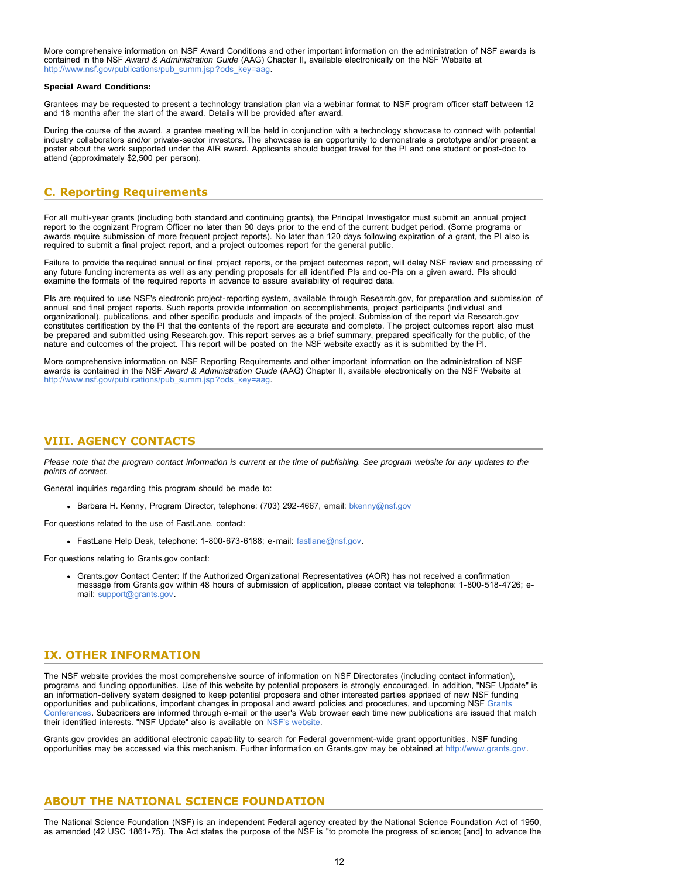More comprehensive information on NSF Award Conditions and other important information on the administration of NSF awards is contained in the NSF *Award & Administration Guide* (AAG) Chapter II, available electronically on the NSF Website at [http://www.nsf.gov/publications/pub\\_summ.jsp?ods\\_key=aag.](http://www.nsf.gov/publications/pub_summ.jsp?ods_key=aag)

#### **Special Award Conditions:**

Grantees may be requested to present a technology translation plan via a webinar format to NSF program officer staff between 12 and 18 months after the start of the award. Details will be provided after award.

During the course of the award, a grantee meeting will be held in conjunction with a technology showcase to connect with potential industry collaborators and/or private-sector investors. The showcase is an opportunity to demonstrate a prototype and/or present a poster about the work supported under the AIR award. Applicants should budget travel for the PI and one student or post-doc to attend (approximately \$2,500 per person).

# <span id="page-11-0"></span>**C. Reporting Requirements**

For all multi-year grants (including both standard and continuing grants), the Principal Investigator must submit an annual project report to the cognizant Program Officer no later than 90 days prior to the end of the current budget period. (Some programs or awards require submission of more frequent project reports). No later than 120 days following expiration of a grant, the PI also is required to submit a final project report, and a project outcomes report for the general public.

Failure to provide the required annual or final project reports, or the project outcomes report, will delay NSF review and processing of any future funding increments as well as any pending proposals for all identified PIs and co-PIs on a given award. PIs should examine the formats of the required reports in advance to assure availability of required data.

PIs are required to use NSF's electronic project-reporting system, available through Research.gov, for preparation and submission of annual and final project reports. Such reports provide information on accomplishments, project participants (individual and organizational), publications, and other specific products and impacts of the project. Submission of the report via Research.gov constitutes certification by the PI that the contents of the report are accurate and complete. The project outcomes report also must be prepared and submitted using Research.gov. This report serves as a brief summary, prepared specifically for the public, of the nature and outcomes of the project. This report will be posted on the NSF website exactly as it is submitted by the PI.

<span id="page-11-1"></span>More comprehensive information on NSF Reporting Requirements and other important information on the administration of NSF awards is contained in the NSF *Award & Administration Guide* (AAG) Chapter II, available electronically on the NSF Website at [http://www.nsf.gov/publications/pub\\_summ.jsp?ods\\_key=aag.](http://www.nsf.gov/publications/pub_summ.jsp?ods_key=aag)

# **VIII. AGENCY CONTACTS**

*Please note that the program contact information is current at the time of publishing. See program website for any updates to the points of contact.*

General inquiries regarding this program should be made to:

Barbara H. Kenny, Program Director, telephone: (703) 292-4667, email: [bkenny@nsf.gov](mailto:bkenny@nsf.gov)

For questions related to the use of FastLane, contact:

FastLane Help Desk, telephone: 1-800-673-6188; e-mail: [fastlane@nsf.gov.](mailto:fastlane@nsf.gov)

For questions relating to Grants.gov contact:

Grants.gov Contact Center: If the Authorized Organizational Representatives (AOR) has not received a confirmation message from Grants.gov within 48 hours of submission of application, please contact via telephone: 1-800-518-4726; email: [support@grants.gov.](mailto:support@grants.gov)

### <span id="page-11-2"></span>**IX. OTHER INFORMATION**

The NSF website provides the most comprehensive source of information on NSF Directorates (including contact information), programs and funding opportunities. Use of this website by potential proposers is strongly encouraged. In addition, "NSF Update" is an information-delivery system designed to keep potential proposers and other interested parties apprised of new NSF funding opportunities and publications, important changes in proposal and award policies and procedures, and upcoming NSF [Grants](http://www.nsf.gov/bfa/dias/policy/outreach.jsp) [Conferences.](http://www.nsf.gov/bfa/dias/policy/outreach.jsp) Subscribers are informed through e-mail or the user's Web browser each time new publications are issued that match their identified interests. "NSF Update" also is available on [NSF's website.](http://www.nsf.gov/cgi-bin/good-bye?https://public.govdelivery.com/accounts/USNSF/subscriber/new?topic_id=USNSF_179)

Grants.gov provides an additional electronic capability to search for Federal government-wide grant opportunities. NSF funding opportunities may be accessed via this mechanism. Further information on Grants.gov may be obtained at [http://www.grants.gov.](http://www.grants.gov/)

### **ABOUT THE NATIONAL SCIENCE FOUNDATION**

The National Science Foundation (NSF) is an independent Federal agency created by the National Science Foundation Act of 1950, as amended (42 USC 1861-75). The Act states the purpose of the NSF is "to promote the progress of science; [and] to advance the